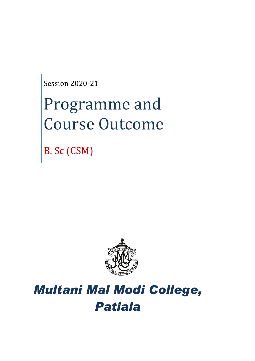Session 2020-21

# Programme and Course Outcome

B. Sc (CSM)



# *Multani Mal Modi College, Patiala*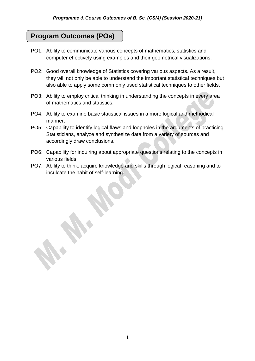# **Program Outcomes (POs)**

- PO1: Ability to communicate various concepts of mathematics, statistics and computer effectively using examples and their geometrical visualizations.
- PO2: Good overall knowledge of Statistics covering various aspects. As a result, they will not only be able to understand the important statistical techniques but also able to apply some commonly used statistical techniques to other fields.
- PO3: Ability to employ critical thinking in understanding the concepts in every area of mathematics and statistics.
- PO4: Ability to examine basic statistical issues in a more logical and methodical manner.
- PO5: Capability to identify logical flaws and loopholes in the arguments of practicing Statisticians, analyze and synthesize data from a variety of sources and accordingly draw conclusions.
- PO6: Capability for inquiring about appropriate questions relating to the concepts in various fields.
- PO7: Ability to think, acquire knowledge and skills through logical reasoning and to inculcate the habit of self-learning.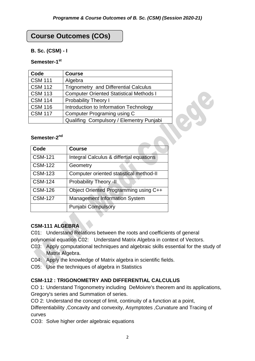# **Course Outcomes (COs)**

#### **B. Sc. (CSM) - I**

#### **Semester-1 st**

| Code                     | <b>Course</b>                                  |  |
|--------------------------|------------------------------------------------|--|
| <b>CSM 111</b>           | Algebra                                        |  |
| <b>CSM 112</b>           | <b>Trignometry and Differential Calculus</b>   |  |
| <b>CSM 113</b>           | <b>Computer Oriented Statistical Methods I</b> |  |
| <b>CSM 114</b>           | <b>Probability Theory I</b>                    |  |
| <b>CSM 116</b>           | Introduction to Information Technology         |  |
| <b>CSM 117</b>           | Computer Programing using C                    |  |
|                          | Qualifing Compulsory / Elementry Punjabi       |  |
|                          |                                                |  |
| Semester-2 <sup>nd</sup> |                                                |  |
| Code                     | <b>Course</b>                                  |  |

#### Semester-2<sup>nd</sup>

| Code           | <b>Course</b>                            |
|----------------|------------------------------------------|
| <b>CSM-121</b> | Integral Calculus & differtial equations |
| <b>CSM-122</b> | Geometry                                 |
| <b>CSM-123</b> | Computer oriented statistical method-II  |
| <b>CSM-124</b> | Probability Theory -II                   |
| <b>CSM-126</b> | Object Oriented Programming using C++    |
| <b>CSM-127</b> | <b>Management Information System</b>     |
|                | <b>Punjabi Compulsory</b>                |

# **CSM-111 ALGEBRA**

- C01: Understand Relations between the roots and coefficients of general
- polynomial equation C02: Understand Matrix Algebra in context of Vectors.
- C03: Apply computational techniques and algebraic skills essential for the study of Matrix Algebra.
- C04: Apply the knowledge of Matrix algebra in scientific fields.
- C05: Use the techniques of algebra in Statistics

#### **CSM-112 : TRIGONOMETRY AND DIFFERENTIAL CALCULUS**

CO 1: Understand Trigonometry including DeMoivre's theorem and its applications, Gregory's series and Summation of series.

CO 2: Understand the concept of limit, continuity of a function at a point,

Differentiability ,Concavity and convexity, Asymptotes ,Curvature and Tracing of curves

CO3: Solve higher order algebraic equations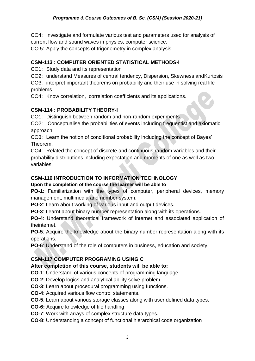CO4: Investigate and formulate various test and parameters used for analysis of current flow and sound waves in physics, computer science.

CO 5: Apply the concepts of trigonometry in complex analysis

# **CSM-113 : COMPUTER ORIENTED STATISTICAL METHODS-I**

CO1: Study data and its representation

CO2: understand Measures of central tendency, Dispersion, Skewness andKurtosis

CO3: interpret important theorems on probability and their use in solving real life problems

CO4: Know correlation, correlation coefficients and its applications.

# **CSM-114 : PROBABILITY THEORY-I**

CO1: Distinguish between random and non-random experiments.

CO2: Conceptualise the probabilities of events including frequentist and axiomatic approach.

CO3: Learn the notion of conditional probability including the concept of Bayes' Theorem.

CO4: Related the concept of discrete and continuous random variables and their probability distributions including expectation and moments of one as well as two variables.

# **CSM-116 INTRODUCTION TO INFORMATION TECHNOLOGY**

# **Upon the completion of the course the learner will be able to**

**PO-1**: Familiarization with the types of computer, peripheral devices, memory management, multimedia and number system.

**PO-2**: Learn about working of various input and output devices.

**PO-3**: Learnt about binary number representation along with its operations.

**PO-4**: Understand theoretical framework of internet and associated application of theinternet.

**PO-5**: Acquire the knowledge about the binary number representation along with its operations.

**PO-6**: Understand of the role of computers in business, education and society.

# **CSM-117 COMPUTER PROGRAMING USING C**

# **After completion of this course, students will be able to:**

**CO-1**: Understand of various concepts of programming language.

- **CO-2**: Develop logics and analytical ability solve problem.
- **CO-3**: Learn about procedural programming using functions.
- **CO-4**: Acquired various flow control statements.
- **CO-5**: Learn about various storage classes along with user defined data types.
- **CO-6:** Acquire knowledge of file handling
- **CO-7**: Work with arrays of complex structure data types.
- **CO-8**: Understanding a concept of functional hierarchical code organization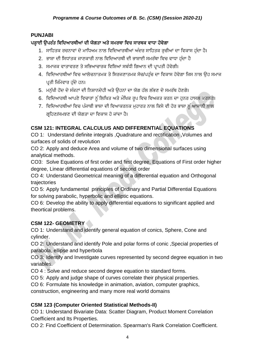# **PUNJABI**

# ਪੜ੍ਹਾਈ ਉਪਰੰਤ ਵਿਦਿਆਰਥੀਆਂ ਦੀ ਯੋਗਤਾ ਅਤੇ ਸਮਰਥਾ ਵਿਚ ਸਾਰਥਕ ਵਾਧਾ ਹੋਵੇਗਾ

- 1. ਸਾਹਿਤਕ ਰਚਨਾਵਾਂ ਦੇ ਮਾਧਿਅਮ ਨਾਲ ਵਿਦਿਆਰਥੀਆਂ ਅੰਦਰ ਸਾਹਿਤਕ ਰਚੀਆਂ ਦਾ ਵਿਕਾਸ ਹੁੰਦਾ ਹੈ।
- 2. ਭਾਸ਼ਾ ਦੀ ਸਿਧਾਂਤਕ ਜਾਣਕਾਰੀ ਨਾਲ ਵਿਦਿਆਰਥੀ ਦੀ ਭਾਸ਼ਾਈ ਸਮਰੱਥਾ ਵਿਚ ਵਾਧਾ ਹੁੰਦਾ ਹੈ
- 3. ਸਮਾਜਕ ਵਾਤਾਵਰਣ ਤੇ ਸਭਿਆਚਾਰਕ ਵਿਸ਼ਿਆਂ ਸਬੰਧੀ ਗਿਆਨ ਦੀ ਪਾਪਤੀ ਹੋਵੇਗੀ।
- 4. ਵਿਦਿਆਰਥੀਆਂ ਵਿਚ ਆਲੋਚਨਾਤਮਕ ਤੇ ਸਿਰਜਣਾਤਮਕ ਸੋਚ/ਪਹੁੰਚ ਦਾ ਵਿਕਾਸ ਹੋਵੇਗਾ ਜਿਸ ਨਾਲ ਉਹ ਸਮਾਜ ਪਤੀ ਜਿੰਮੇਵਾਰ ਹੁੰਦੇ ਹਨ।
- 5. ਮਨੁੱਖੀ ਹੋਂਦ ਦੇ ਸੰਕਟਾਂ ਦੀ ਨਿਸ਼ਾਨਦੇਹੀ ਅਤੇ ਉਹਨਾਂ ਦਾ ਯੋਗ ਹੱਲ ਲੱਭਣ ਦੇ ਸਮਰੱਥ ਹੋਣਗੇ।
- 6. ਵਿਦਿਆਰਥੀ ਆਪਣੇ ਵਿਚਾਰਾਂ ਨੂੰ ਲਿਖਿਤ ਅਤੇ ਮੌਖਿਕ ਰੂਪ ਵਿਚ ਵਿਅਕਤ ਕਰਨ ਦਾ ਹੁਨਰ ਹਾਸਲ ਕਰਨਗੇ।
- 7. ਵਿਦਿਆਰਥੀਆਂ ਵਿਚ ਪੰਜਾਬੀ ਭਾਸ਼ਾ ਦੀ ਵਿਆਕਰਨਕ ਮਹਾਰਤ ਨਾਲ ਕਿਸੇ ਵੀ ਹੋਰ ਭਾਸ਼ਾ ਨੂੰ ਆਸਾਨੀ ਨਾਲ ਗੁਹਿਣ/ਸਮਝਣ ਦੀ ਯੋਗਤਾ ਦਾ ਵਿਕਾਸ ਹੋ ਜਾਂਦਾ ਹੈ।

# **CSM 121: INTEGRAL CALCULUS AND DIFFERENTIAL EQUATIONS**

CO 1: Understand definite integrals ,Quadrature and rectification ,Volumes and surfaces of solids of revolution

CO 2: Apply and deduce Area and volume of two dimensional surfaces using analytical methods.

CO3: Solve Equations of first order and first degree, Equations of First order higher degree, Linear differential equations of second order

CO 4: Understand Geometrical meaning of a differential equation and Orthogonal trajectories

CO 5: Apply fundamental principles of Ordinary and Partial Differential Equations for solving parabolic, hyperbolic and elliptic equations.

CO 6: Develop the ability to apply differential equations to significant applied and theortical problems.

# **CSM 122- GEOMETRY**

CO 1: Understand and identify general equation of conics, Sphere, Cone and cylinder.

CO 2: Understand and identify Pole and polar forms of conic ,Special properties of parabola, ellipse and hyperbola

CO 3: Identify and Investigate curves represented by second degree equation in two variables.

CO 4 : Solve and reduce second degree equation to standard forms.

CO 5: Apply and judge shape of curves correlate their physical properties.

CO 6: Formulate his knowledge in animation, aviation, computer graphics,

construction, engineering and many more real world domains

# **CSM 123 (Computer Oriented Statistical Methods-II)**

CO 1: Understand Bivariate Data: Scatter Diagram, Product Moment Correlation Coefficient and Its Properties.

CO 2: Find Coefficient of Determination. Spearman's Rank Correlation Coefficient.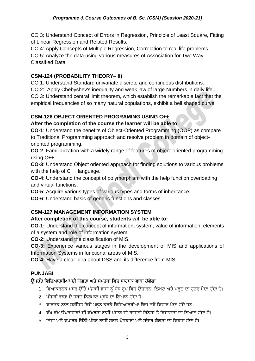#### *Programme & Course Outcomes of B. Sc. (CSM) (Session 2020-21)*

CO 3: Understand Concept of Errors in Regression, Principle of Least Square, Fitting of Linear Regression and Related Results.

CO 4: Apply Concepts of Multiple Regression, Correlation to real life problems.

CO 5: Analyze the data using various measures of Association for Two Way Classified Data.

#### **CSM-124 (PROBABILITY THEORY– II)**

CO 1: Understand Standard univariate discrete and continuous distributions.

CO 2: Apply Chebyshev's inequality and weak law of large Numbers in daily life..

CO 3: Understand central limit theorem, which establish the remarkable fact that the empirical frequencies of so many natural populations, exhibit a bell shaped curve.

# **CSM-126 OBJECT ORIENTED PROGRAMING USING C++**

#### **After the completion of the course the learner will be able to**

**CO-1**: Understand the benefits of Object-Oriented Programming (OOP) as compare to Traditional Programming approach and resolve problem in domain of objectoriented programming.

**CO-2**: Familiarization with a widely range of features of object-oriented programming using C++

**CO-3**: Understand Object oriented approach for finding solutions to various problems with the help of C++ language.

**CO-4**: Understand the concept of polymorphism with the help function overloading and virtual functions.

**CO-5**: Acquire various types of various types and forms of inheritance.

**CO-6**: Understand basic of generic functions and classes.

# **CSM-127 MANAGEMENT INFORMATION SYSTEM**

#### **After completion of this course, students will be able to:**

**CO-1:** Understand the concept of information, system, value of information, elements of a system and role of information system.

**CO-2:** Understand the classification of MIS.

**CO-3:** Experience various stages in the development of MIS and applications of Information Systems in functional areas of MIS.

**CO-4:** Have a clear idea about DSS and its difference from MIS.

# **PUNJABI**

# ਉਪਰੰਤ ਵਿਦਿਆਰਥੀਆਂ ਦੀ ਯੋਗਤਾ ਅਤੇ ਸਮਰਥਾ ਵਿਚ ਸਾਰਥਕ ਵਾਧਾ ਹੋਵੇਗਾ

- 1. ਵਿਆਕਰਨਕ ਪੱਧਰ ਉੱਤੇ ਪੰਜਾਬੀ ਭਾਸ਼ਾ ਨੂੰ ਸ਼ੁੱਧ ਰਪ ਵਿਚ ਉਚਾਰਨ, ਲਿਖਣ ਅਤੇ ਪੜ੍ਹਨ ਦਾ ਹਨਰ ਪੈਦਾ ਹੁੰਦਾ ਹੈ।
- 2. ਪੰਜਾਬੀ ਭਾਸ਼ਾ ਦੇ ਸ਼ਬਦ ਨਿਰਮਾਣ ਪ੍ਰਬੰਧ ਦਾ ਗਿਆਨ ਹੁੰਦਾ ਹੈ।
- 3. ਵਾਰਤਕ ਨਾਲ ਸਬੰਧਿਤ ਵਿਸ਼ੇ ਪੜ੍ਹਨ ਕਰਕੇ ਵਿਦਿਆਰਥੀਆਂ ਵਿਚ ਨਵੇਂ ਵਿਚਾਰ ਪੈਦਾ ਹੁੰਦੇ ਹਨ।
- 4. ਵੱਖ ਵੱਖ ਉਪਭਾਸ਼ਾਵਾਂ ਦੀ ਵੱਖਰਤਾ ਰਾਹੀਂ ਪੰਜਾਬ ਦੀ ਭਾਸ਼ਾਈ ਭਿੰਨਤਾ ਤੇ ਵਿਸ਼ਾਲਤਾ ਦਾ ਗਿਆਨ ਹੁੰਦਾ ਹੈ।
- 5. ਨਿਜੀ ਅਤੇ ਵਪਾਰਕ ਚਿੱਠੀ-ਪੱਤਰ ਰਾਹੀਂ ਸਰਲ ਪੇਸ਼ਕਾਰੀ ਅਤੇ ਸੰਚਾਰ ਯੋਗਤਾ ਦਾ ਵਿਕਾਸ ਹੁੰਦਾ ਹੈ।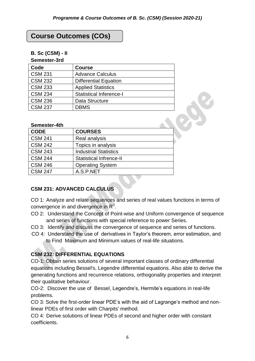# **Course Outcomes (COs)**

#### **B. Sc (CSM) - II**

#### **Semester-3rd**

| Code           | <b>Course</b>                  |
|----------------|--------------------------------|
| <b>CSM 231</b> | <b>Advance Calculus</b>        |
| <b>CSM 232</b> | <b>Differential Equation</b>   |
| <b>CSM 233</b> | <b>Applied Statistics</b>      |
| <b>CSM 234</b> | <b>Statistical Inference-I</b> |
| <b>CSM 236</b> | Data Structure                 |
| <b>CSM 237</b> | <b>DBMS</b>                    |

#### **Semester-4th**

| <b>CODE</b>    | <b>COURSES</b>                 |
|----------------|--------------------------------|
| <b>CSM 241</b> | Real analysis                  |
| <b>CSM 242</b> | Topics in analysis             |
| <b>CSM 243</b> | <b>Industrial Statistics</b>   |
| <b>CSM 244</b> | <b>Statistical Infrence-II</b> |
| <b>CSM 246</b> | <b>Operating System</b>        |
| <b>CSM 247</b> | A.S.P.NET                      |
|                |                                |

# **CSM 231: ADVANCED CALCULUS**

CO 1: Analyze and relate sequences and series of real values functions in terms of convergence in and divergence in  $\mathbb{R}^2$ .

- CO 2: Understand the Concept of Point-wise and Uniform convergence of sequence and series of functions with special reference to power Series.
- CO 3: Identify and discuss the convergence of sequence and series of functions.
- CO 4: Understand the use of derivatives in Taylor's theorem, error estimation, and to Find Maximum and Minimum values of real-life situations.

# **CSM 232: DIFFERENTIAL EQUATIONS**

CO-1: Obtain series solutions of several important classes of ordinary differential equations including Bessel's, Legendre differential equations. Also able to derive the generating functions and recurrence relations, orthogonality properties and interpret their qualitative behaviour.

CO-2: Discover the use of Bessel, Legendre's, Hermite's equations in real-life problems.

CO 3: Solve the first-order linear PDE's with the aid of Lagrange's method and nonlinear PDEs of first order with Charpits' method.

CO 4: Derive solutions of linear PDEs of second and higher order with constant coefficients.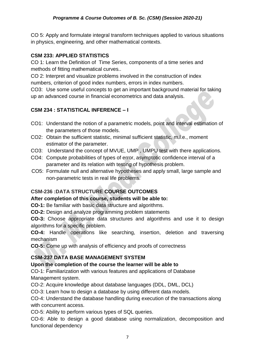CO 5: Apply and formulate integral transform techniques applied to various situations in physics, engineering, and other mathematical contexts.

# **CSM 233: APPLIED STATISTICS**

CO 1: Learn the Definition of Time Series, components of a time series and methods of fitting mathematical curves..

CO 2: Interpret and visualize problems involved in the construction of index numbers, criterion of good index numbers, errors in index numbers.

CO3: Use some useful concepts to get an important background material for taking up an advanced course in financial econometrics and data analysis.

# **CSM 234 : STATISTICAL INFERENCE – I**

- CO1: Understand the notion of a parametric models, point and interval estimation of the parameters of those models.
- CO2: Obtain the sufficient statistic, minimal sufficient statistic, m.l.e., moment estimator of the parameter.
- CO3: Understand the concept of MVUE, UMP , UMPU test with there applications.
- CO4: Compute probabilities of types of error, asymptotic confidence interval of a parameter and its relation with testing of hypothesis problem.
- CO5: Formulate null and alternative hypotheses and apply small, large sample and non-parametric tests in real life problems.

# **CSM-236 :DATA STRUCTURE COURSE OUTCOMES**

# **After completion of this course, students will be able to:**

**CO-1:** Be familiar with basic data structure and algorithms.

**CO-2:** Design and analyze programming problem statements

**CO-3:** Choose appropriate data structures and algorithms and use it to design algorithms for a specific problem.

**CO-4:** Handle operations like searching, insertion, deletion and traversing mechanism

**CO-5:** Come up with analysis of efficiency and proofs of correctness

# **CSM-237 DATA BASE MANAGEMENT SYSTEM**

# **Upon the completion of the course the learner will be able to**

CO-1: Familiarization with various features and applications of Database Management system.

CO-2: Acquire knowledge about database languages (DDL, DML, DCL)

CO-3: Learn how to design a database by using different data models.

CO-4: Understand the database handling during execution of the transactions along with concurrent access.

CO-5: Ability to perform various types of SQL queries.

CO-6: Able to design a good database using normalization, decomposition and functional dependency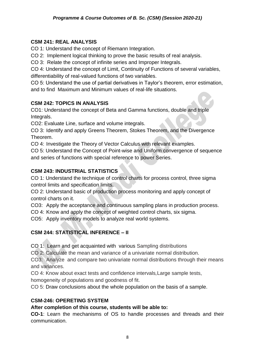#### **CSM 241: REAL ANALYSIS**

CO 1: Understand the concept of Riemann Integration.

CO 2: Implement logical thinking to prove the basic results of real analysis.

CO 3: Relate the concept of infinite series and Improper Integrals.

CO 4: Understand the concept of Limit, Continuity of Functions of several variables, differentiability of real-valued functions of two variables.

CO 5: Understand the use of partial derivatives in Taylor's theorem, error estimation, and to find Maximum and Minimum values of real-life situations.

# **CSM 242: TOPICS IN ANALYSIS**

CO1: Understand the concept of Beta and Gamma functions, double and triple Integrals.

CO2: Evaluate Line, surface and volume integrals.

CO 3: Identify and apply Greens Theorem, Stokes Theorem, and the Divergence Theorem.

CO 4: Investigate the Theory of Vector Calculus with relevant examples.

CO 5: Understand the Concept of Point-wise and Uniform convergence of sequence and series of functions with special reference to power Series.

# **CSM 243: INDUSTRIAL STATISTICS**

CO 1: Understand the technique of control charts for process control, three sigma control limits and specification limits.

CO 2: Understand basic of production process monitoring and apply concept of control charts on it.

CO3: Apply the acceptance and continuous sampling plans in production process.

CO 4: Know and apply the concept of weighted control charts, six sigma.

CO5: Apply inventory models to analyze real world systems.

# **CSM 244: STATISTICAL INFERENCE – II**

CO 1: Learn and get acquainted with various Sampling distributions

CO 2: Calculate the mean and variance of a univariate normal distribution.

CO3: Analyze and compare two univariate normal distributions through their means and variances.

CO 4: Know about exact tests and confidence intervals*,*Large sample tests,

homogeneity of populations and goodness of fit.

CO 5: Draw conclusions about the whole population on the basis of a sample.

# **CSM-246: OPERETING SYSTEM**

# **After completion of this course, students will be able to:**

**CO-1**: Learn the mechanisms of OS to handle processes and threads and their communication.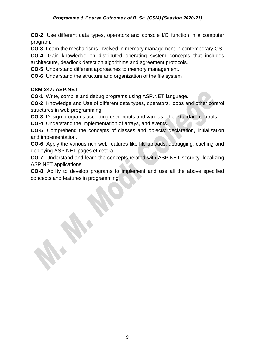**CO-2**: Use different data types, operators and console I/O function in a computer program.

**CO-3**: Learn the mechanisms involved in memory management in contemporary OS.

**CO-4**: Gain knowledge on distributed operating system concepts that includes architecture, deadlock detection algorithms and agreement protocols.

**CO-5**: Understand different approaches to memory management.

**CO-6**: Understand the structure and organization of the file system

#### **CSM-247: ASP.NET**

**CO-1**: Write, compile and debug programs using ASP.NET language.

**CO-2**: Knowledge and Use of different data types, operators, loops and other control structures in web programming.

**CO-3**: Design programs accepting user inputs and various other standard controls.

**CO-4**: Understand the implementation of arrays, and events.

**CO-5**: Comprehend the concepts of classes and objects: declaration, initialization and implementation.

**CO-6**: Apply the various rich web features like file uploads, debugging, caching and deploying ASP.NET pages et cetera.

**CO-7**: Understand and learn the concepts related with ASP.NET security, localizing ASP.NET applications.

**CO-8**: Ability to develop programs to implement and use all the above specified concepts and features in programming.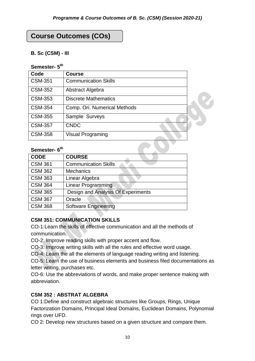# **Course Outcomes (COs)**

#### **B. Sc (CSM) - III**

#### **Semester- 5 th**

| Code           | <b>Course</b>                |  |
|----------------|------------------------------|--|
| <b>CSM-351</b> | <b>Communication Skills</b>  |  |
| <b>CSM-352</b> | Abstract Algebra             |  |
| <b>CSM-353</b> | <b>Discrete Mathematics</b>  |  |
| <b>CSM-354</b> | Comp. Ori. Numerical Methods |  |
| <b>CSM-355</b> | Sample Surveys               |  |
| <b>CSM-357</b> | <b>CNDC</b>                  |  |
| <b>CSM-358</b> | <b>Visual Programing</b>     |  |

#### **Semester- 6 th**

| <b>CODE</b>    | <b>COURSE</b>                      |
|----------------|------------------------------------|
| <b>CSM 361</b> | <b>Communication Skills</b>        |
| <b>CSM 362</b> | <b>Mechanics</b>                   |
| <b>CSM 363</b> | Linear Algebra                     |
| <b>CSM 364</b> | <b>Linear Programming</b>          |
| <b>CSM 365</b> | Design and Analysis Of Experiments |
| <b>CSM 367</b> | Oracle                             |
| <b>CSM 368</b> | <b>Software Engineering</b>        |

#### **CSM 351: COMMUNICATION SKILLS**

CO-1:Learn the skills of effective communication and all the methods of communication.

CO-2: Improve reading skills with proper accent and flow.

CO-3: Improve writing skills with all the rules and effective word usage.

CO-4: Learn the all the elements of language reading writing and listening.

CO-5: Learn the use of business elements and business filed documentations as letter writing, purchases etc.

CO-6: Use the abbreviations of words, and make proper sentence making with abbreviation.

# **CSM 352 : ABSTRAT ALGEBRA**

CO 1:Define and construct algebraic structures like Groups, Rings, Unique Factorization Domains, Principal Ideal Domains, Euclidean Domains, Polynomial rings over UFD.

CO 2: Develop new structures based on a given structure and compare them.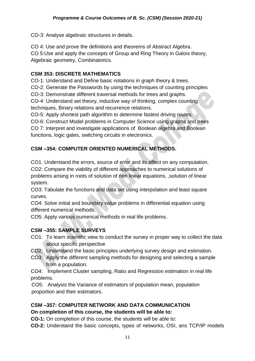CO-3: Analyse algebraic structures in details.

CO 4: Use and prove the definitions and theorems of Abstract Algebra. CO 5:Use and apply the concepts of Group and Ring Theory in Galois theory, Algebraic geometry, Combinatorics.

#### **CSM 353: DISCRETE MATHEMATICS**

CO-1: Understand and Define basic notations in graph theory & trees.

CO-2: Generate the Passwords by using the techniques of counting principles

CO-3: Demonstrate different traversal methods for trees and graphs.

CO-4: Understand set theory, inductive way of thinking, complex counting techniques, Binary relations and recurrence relations.

CO-5: Apply shortest path algorithm to determine fastest driving routes.

CO-6: Construct Model problems in Computer Science using graphs and trees CO 7: Interpret and investigate applications of Boolean algebra and Boolean functions, logic gates, switching circuits in electronics.

# **CSM –354: COMPUTER ORIENTED NUMERICAL METHODS.**

CO1: Understand the errors, source of error and its effect on any computation. CO2: Compare the viability of different approaches to numerical solutions of problems arising in roots of solution of non linear equations, ,solution of linear system.

CO3: Tabulate the functions and data set using interpolation and least square curves.

CO4: Solve initial and boundary value problems in differential equation using different numerical methods.

CO5: Apply various numerical methods in real life problems.

# **CSM –355: SAMPLE SURVEYS**

- CO1: To learn scientific view to conduct the survey in proper way to collect the data about specific perspective
- CO2: Understand the basic principles underlying survey design and estimation.
- CO3: Apply the different sampling methods for designing and selecting a sample from a population.

CO4: Implement Cluster sampling, Ratio and Regression estimation in real life problems.

CO5: Analysis the Variance of estimators of population mean, population proportion and their estimators.

# **CSM –357: COMPUTER NETWORK AND DATA COMMUNICATION On completion of this course, the students will be able to:**

**CO-1:** On completion of this course, the students will be able to:

**CO-2:** Understand the basic concepts, types of networks, OSI, ans TCP/IP models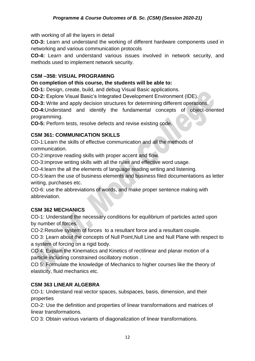with working of all the layers in detail

**CO-3:** Learn and understand the working of different hardware components used in networking and various communication protocols

**CO-4:** Learn and understand various issues involved in network security, and methods used to implement network security.

# **CSM –358: VISUAL PROGRAMING**

**On completion of this course, the students will be able to:**

**CO-1:** Design, create, build, and debug Visual Basic applications.

**CO-2:** Explore Visual Basic's Integrated Development Environment (IDE).

**CO-3:** Write and apply decision structures for determining different operations.

**CO-4:**Understand and identify the fundamental concepts of object-oriented programming.

**CO-5:** Perform tests, resolve defects and revise existing code.

# **CSM 361: COMMUNICATION SKILLS**

CO-1:Learn the skills of effective communication and all the methods of communication.

CO-2:improve reading skills with proper accent and flow.

CO-3:improve writing skills with all the rules and effective word usage.

CO-4:learn the all the elements of language reading writing and listening.

CO-5:learn the use of business elements and business filed documentations as letter writing, purchases etc.

CO-6: use the abbreviations of words, and make proper sentence making with abbreviation.

# **CSM 362 MECHANICS**

CO-1: Understand the necessary conditions for equilibrium of particles acted upon by number of forces.

CO-2:Resolve system of forces to a resultant force and a resultant couple.

CO 3: Learn about the concepts of Null Point,Null Line and Null Plane with respect to a system of forcing on a rigid body.

CO 4: Explain the Kinematics and Kinetics of rectilinear and planar motion of a particle including constrained oscillatory motion .

CO 5: Formulate the knowledge of Mechanics to higher courses like the theory of elasticity, fluid mechanics etc.

# **CSM 363 LINEAR ALGEBRA**

CO-1: Understand real vector spaces, subspaces, basis, dimension, and their properties

CO-2: Use the definition and properties of linear transformations and matrices of linear transformations.

CO 3: Obtain various variants of diagonalization of linear transformations.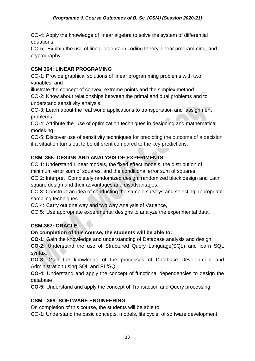CO-4: Apply the knowledge of linear algebra to solve the system of differential equations.

CO-5: Explain the use of linear algebra in coding theory, linear programming, and cryptography.

# **CSM 364: LINEAR PROGRAMING**

CO-1: Provide graphical solutions of linear programming problems with two variables, and

illustrate the concept of convex, extreme points and the simplex method CO-2: Know about relationships between the primal and dual problems and to

understand sensitivity analysis.

CO-3: Learn about the real world applications to transportation and assignment problems

CO-4: Attribute the use of optimization techniques in designing and mathematical modeking.

CO-5: Discover use of sensitivity techniques for predicting the outcome of a decision if a situation turns out to be different compared to the key predictions.

# **CSM 365: DESIGN AND ANALYSIS OF EXPERIMENTS**

CO 1: Understand Linear models, the fixed effect models, the distribution of minimum error sum of squares, and the conditional error sum of squares.

CO 2: Interpret Completely randomized design, randomized block design and Latin square design and their advantages and disadvantages.

CO 3: Construct an idea of conducting the sample surveys and selecting appropriate sampling techniques.

CO 4: Carry out one way and two way Analysis of Variance,

CO 5: Use appropriate experimental designs to analyze the experimental data.

# **CSM-367: ORACLE**

# **On completion of this course, the students will be able to:**

**CO-1:** Gain the knowledge and understanding of Database analysis and design.

**CO-2:** Understand the use of Structured Query Language(SQL) and learn SQL syntax.

**CO-3:** Gain the knowledge of the processes of Database Development and Administration using SQL and PL/SQL.

**CO-4:** Understand and apply the concept of functional dependencies to design the database

**CO-5:** Understand and apply the concept of Transaction and Query processing

# **CSM - 368: SOFTWARE ENGINEERING**

On completion of this course, the students will be able to:

CO-1: Understand the basic concepts, models, life cycle of software development.